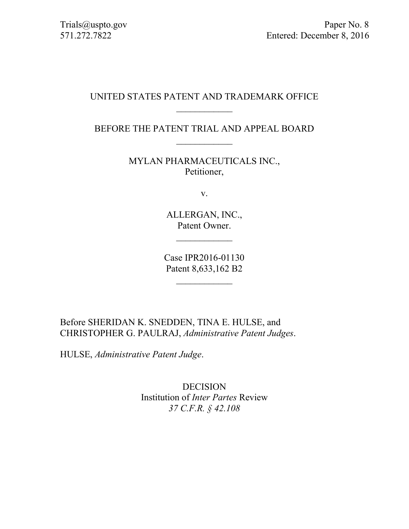# UNITED STATES PATENT AND TRADEMARK OFFICE  $\mathcal{L}_\text{max}$

BEFORE THE PATENT TRIAL AND APPEAL BOARD

MYLAN PHARMACEUTICALS INC., Petitioner,

v.

ALLERGAN, INC., Patent Owner.

 $\frac{1}{2}$ 

Case IPR2016-01130 Patent 8,633,162 B2

Before SHERIDAN K. SNEDDEN, TINA E. HULSE, and CHRISTOPHER G. PAULRAJ, *Administrative Patent Judges*.

HULSE, *Administrative Patent Judge*.

DECISION Institution of *Inter Partes* Review *37 C.F.R. § 42.108*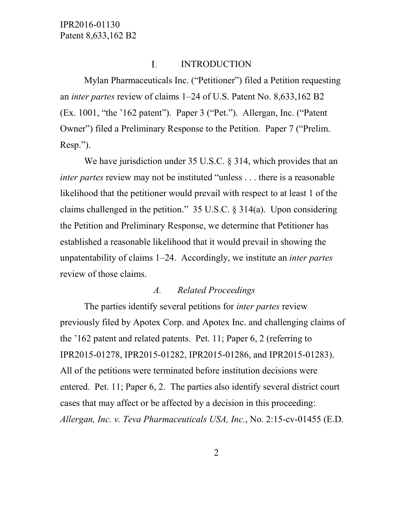#### I. INTRODUCTION

Mylan Pharmaceuticals Inc. ("Petitioner") filed a Petition requesting an *inter partes* review of claims 1–24 of U.S. Patent No. 8,633,162 B2 (Ex. 1001, "the '162 patent"). Paper 3 ("Pet."). Allergan, Inc. ("Patent Owner") filed a Preliminary Response to the Petition. Paper 7 ("Prelim. Resp.").

We have jurisdiction under 35 U.S.C. § 314, which provides that an *inter partes* review may not be instituted "unless . . . there is a reasonable likelihood that the petitioner would prevail with respect to at least 1 of the claims challenged in the petition."  $35 \text{ U.S.C.}$   $\S$   $314(a)$ . Upon considering the Petition and Preliminary Response, we determine that Petitioner has established a reasonable likelihood that it would prevail in showing the unpatentability of claims 1–24. Accordingly, we institute an *inter partes*  review of those claims.

#### *A. Related Proceedings*

The parties identify several petitions for *inter partes* review previously filed by Apotex Corp. and Apotex Inc. and challenging claims of the '162 patent and related patents. Pet. 11; Paper 6, 2 (referring to IPR2015-01278, IPR2015-01282, IPR2015-01286, and IPR2015-01283). All of the petitions were terminated before institution decisions were entered. Pet. 11; Paper 6, 2. The parties also identify several district court cases that may affect or be affected by a decision in this proceeding: *Allergan, Inc. v. Teva Pharmaceuticals USA, Inc.*, No. 2:15-cv-01455 (E.D.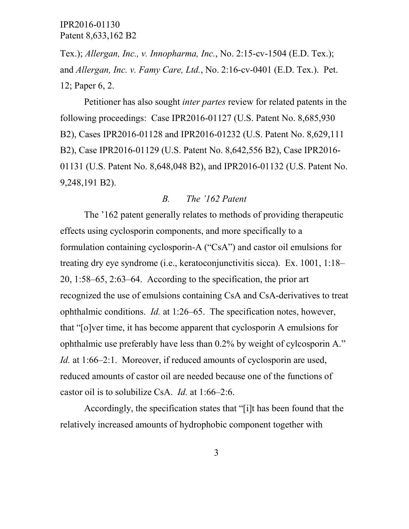Tex.); *Allergan, Inc., v. Innopharma, Inc.*, No. 2:15-cv-1504 (E.D. Tex.); and *Allergan, Inc. v. Famy Care, Ltd.*, No. 2:16-cv-0401 (E.D. Tex.). Pet. 12; Paper 6, 2.

Petitioner has also sought *inter partes* review for related patents in the following proceedings: Case IPR2016-01127 (U.S. Patent No. 8,685,930 B2), Cases IPR2016-01128 and IPR2016-01232 (U.S. Patent No. 8,629,111 B2), Case IPR2016-01129 (U.S. Patent No. 8,642,556 B2), Case IPR2016- 01131 (U.S. Patent No. 8,648,048 B2), and IPR2016-01132 (U.S. Patent No. 9,248,191 B2).

#### *B. The '162 Patent*

The '162 patent generally relates to methods of providing therapeutic effects using cyclosporin components, and more specifically to a formulation containing cyclosporin-A ("CsA") and castor oil emulsions for treating dry eye syndrome (i.e., keratoconjunctivitis sicca). Ex. 1001, 1:18– 20, 1:58–65, 2:63–64. According to the specification, the prior art recognized the use of emulsions containing CsA and CsA-derivatives to treat ophthalmic conditions. *Id.* at 1:26–65. The specification notes, however, that "[o]ver time, it has become apparent that cyclosporin A emulsions for ophthalmic use preferably have less than 0.2% by weight of cylcosporin A." *Id.* at 1:66–2:1. Moreover, if reduced amounts of cyclosporin are used, reduced amounts of castor oil are needed because one of the functions of castor oil is to solubilize CsA. *Id.* at 1:66–2:6.

Accordingly, the specification states that "[i]t has been found that the relatively increased amounts of hydrophobic component together with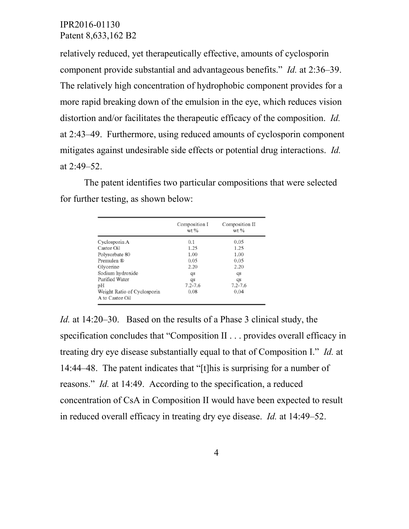relatively reduced, yet therapeutically effective, amounts of cyclosporin component provide substantial and advantageous benefits." *Id.* at 2:36–39. The relatively high concentration of hydrophobic component provides for a more rapid breaking down of the emulsion in the eye, which reduces vision distortion and/or facilitates the therapeutic efficacy of the composition. *Id.* at 2:43–49. Furthermore, using reduced amounts of cyclosporin component mitigates against undesirable side effects or potential drug interactions. *Id.* at 2:49–52.

The patent identifies two particular compositions that were selected for further testing, as shown below:

|                                                | Composition I<br>$wt$ % | Composition II<br>wt % |  |
|------------------------------------------------|-------------------------|------------------------|--|
| Cyclosporin A                                  | 0.1                     | 0.05                   |  |
| Castor Oil                                     | 1.25                    | 1.25                   |  |
| Polysorbate 80                                 | 1.00                    | 1.00                   |  |
| Premulen ®                                     | 0.05                    | 0.05                   |  |
| Glycerine                                      | 2.20                    | 2.20                   |  |
| Sodium hydroxide                               | qs                      | qs                     |  |
| Purified Water                                 | qs                      | qs                     |  |
| рH                                             | $7.2 - 7.6$             | $7.2 - 7.6$            |  |
| Weight Ratio of Cyclosporin<br>A to Castor Oil | 0.08                    | 0.04                   |  |

*Id.* at 14:20–30. Based on the results of a Phase 3 clinical study, the specification concludes that "Composition II . . . provides overall efficacy in treating dry eye disease substantially equal to that of Composition I." *Id.* at 14:44–48. The patent indicates that "[t]his is surprising for a number of reasons." *Id.* at 14:49. According to the specification, a reduced concentration of CsA in Composition II would have been expected to result in reduced overall efficacy in treating dry eye disease. *Id.* at 14:49–52.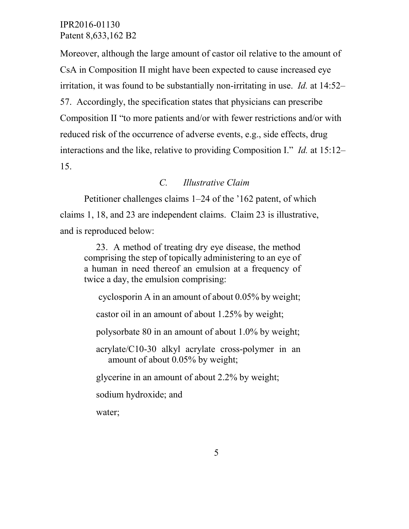Moreover, although the large amount of castor oil relative to the amount of CsA in Composition II might have been expected to cause increased eye irritation, it was found to be substantially non-irritating in use. *Id.* at 14:52– 57. Accordingly, the specification states that physicians can prescribe Composition II "to more patients and/or with fewer restrictions and/or with reduced risk of the occurrence of adverse events, e.g., side effects, drug interactions and the like, relative to providing Composition I." *Id.* at 15:12– 15.

# *C. Illustrative Claim*

Petitioner challenges claims 1–24 of the '162 patent, of which claims 1, 18, and 23 are independent claims. Claim 23 is illustrative, and is reproduced below:

23. A method of treating dry eye disease, the method comprising the step of topically administering to an eye of a human in need thereof an emulsion at a frequency of twice a day, the emulsion comprising:

cyclosporin A in an amount of about 0.05% by weight;

castor oil in an amount of about 1.25% by weight;

polysorbate 80 in an amount of about 1.0% by weight;

acrylate/C10-30 alkyl acrylate cross-polymer in an amount of about 0.05% by weight;

glycerine in an amount of about 2.2% by weight;

sodium hydroxide; and

water;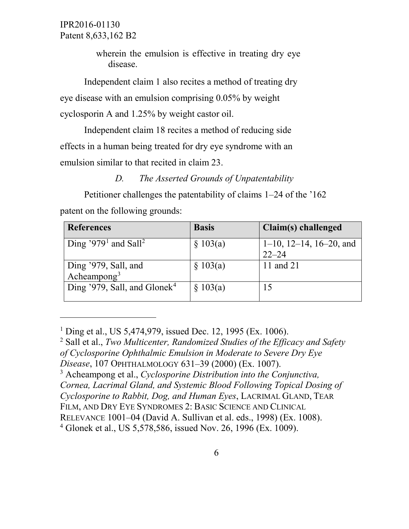$\overline{a}$ 

wherein the emulsion is effective in treating dry eye disease.

Independent claim 1 also recites a method of treating dry eye disease with an emulsion comprising 0.05% by weight cyclosporin A and 1.25% by weight castor oil.

Independent claim 18 recites a method of reducing side effects in a human being treated for dry eye syndrome with an emulsion similar to that recited in claim 23.

*D. The Asserted Grounds of Unpatentability*

Petitioner challenges the patentability of claims 1–24 of the '162 patent on the following grounds:

| <b>References</b>                            | <b>Basis</b> | Claim(s) challenged                           |
|----------------------------------------------|--------------|-----------------------------------------------|
| Ding '979 <sup>1</sup> and Sall <sup>2</sup> | \$103(a)     | $1-10$ , $12-14$ , $16-20$ , and<br>$22 - 24$ |
| Ding '979, Sall, and<br>Acheampong $3$       | \$103(a)     | 11 and 21                                     |
| Ding '979, Sall, and Glonek <sup>4</sup>     | § 103(a)     | 15                                            |

<span id="page-5-0"></span><sup>&</sup>lt;sup>1</sup> Ding et al., US 5,474,979, issued Dec. 12, 1995 (Ex. 1006).

<span id="page-5-1"></span><sup>2</sup> Sall et al., *Two Multicenter, Randomized Studies of the Efficacy and Safety of Cyclosporine Ophthalmic Emulsion in Moderate to Severe Dry Eye* 

*Disease*, 107 OPHTHALMOLOGY 631–39 (2000) (Ex. 1007).

<span id="page-5-2"></span><sup>3</sup> Acheampong et al., *Cyclosporine Distribution into the Conjunctiva, Cornea, Lacrimal Gland, and Systemic Blood Following Topical Dosing of Cyclosporine to Rabbit, Dog, and Human Eyes*, LACRIMAL GLAND, TEAR

FILM, AND DRY EYE SYNDROMES 2: BASIC SCIENCE AND CLINICAL

RELEVANCE 1001–04 (David A. Sullivan et al. eds., 1998) (Ex. 1008).

<span id="page-5-3"></span><sup>4</sup> Glonek et al., US 5,578,586, issued Nov. 26, 1996 (Ex. 1009).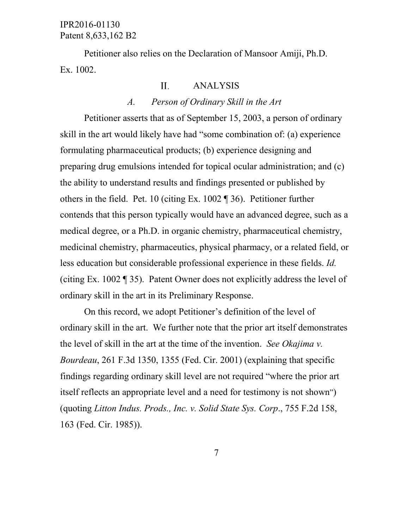Petitioner also relies on the Declaration of Mansoor Amiji, Ph.D. Ex. 1002.

#### II. ANALYSIS

#### *A. Person of Ordinary Skill in the Art*

Petitioner asserts that as of September 15, 2003, a person of ordinary skill in the art would likely have had "some combination of: (a) experience formulating pharmaceutical products; (b) experience designing and preparing drug emulsions intended for topical ocular administration; and (c) the ability to understand results and findings presented or published by others in the field. Pet. 10 (citing Ex. 1002 ¶ 36). Petitioner further contends that this person typically would have an advanced degree, such as a medical degree, or a Ph.D. in organic chemistry, pharmaceutical chemistry, medicinal chemistry, pharmaceutics, physical pharmacy, or a related field, or less education but considerable professional experience in these fields. *Id.*  (citing Ex. 1002 ¶ 35). Patent Owner does not explicitly address the level of ordinary skill in the art in its Preliminary Response.

On this record, we adopt Petitioner's definition of the level of ordinary skill in the art. We further note that the prior art itself demonstrates the level of skill in the art at the time of the invention. *See Okajima v. Bourdeau*, 261 F.3d 1350, 1355 (Fed. Cir. 2001) (explaining that specific findings regarding ordinary skill level are not required "where the prior art itself reflects an appropriate level and a need for testimony is not shown") (quoting *Litton Indus. Prods., Inc. v. Solid State Sys. Corp*., 755 F.2d 158, 163 (Fed. Cir. 1985)).

7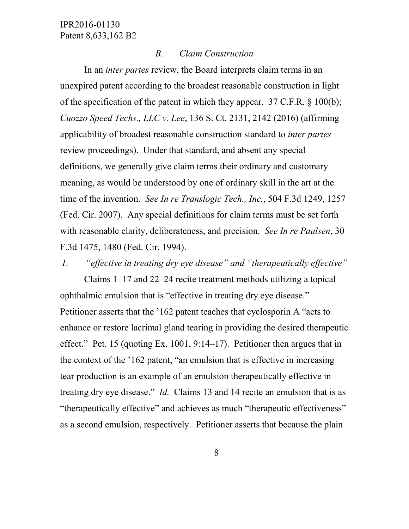#### *B. Claim Construction*

In an *inter partes* review, the Board interprets claim terms in an unexpired patent according to the broadest reasonable construction in light of the specification of the patent in which they appear. 37 C.F.R. § 100(b); *Cuozzo Speed Techs., LLC v. Lee*, 136 S. Ct. 2131, 2142 (2016) (affirming applicability of broadest reasonable construction standard to *inter partes* review proceedings). Under that standard, and absent any special definitions, we generally give claim terms their ordinary and customary meaning, as would be understood by one of ordinary skill in the art at the time of the invention. *See In re Translogic Tech., Inc.*, 504 F.3d 1249, 1257 (Fed. Cir. 2007). Any special definitions for claim terms must be set forth with reasonable clarity, deliberateness, and precision. *See In re Paulsen*, 30 F.3d 1475, 1480 (Fed. Cir. 1994).

*1. "effective in treating dry eye disease" and "therapeutically effective"*

Claims 1–17 and 22–24 recite treatment methods utilizing a topical ophthalmic emulsion that is "effective in treating dry eye disease." Petitioner asserts that the '162 patent teaches that cyclosporin A "acts to enhance or restore lacrimal gland tearing in providing the desired therapeutic effect." Pet. 15 (quoting Ex. 1001, 9:14–17). Petitioner then argues that in the context of the '162 patent, "an emulsion that is effective in increasing tear production is an example of an emulsion therapeutically effective in treating dry eye disease." *Id.* Claims 13 and 14 recite an emulsion that is as "therapeutically effective" and achieves as much "therapeutic effectiveness" as a second emulsion, respectively. Petitioner asserts that because the plain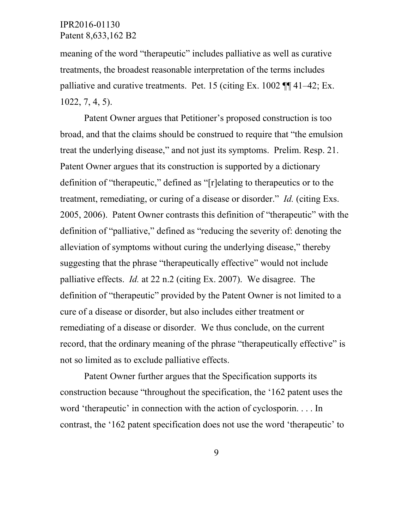meaning of the word "therapeutic" includes palliative as well as curative treatments, the broadest reasonable interpretation of the terms includes palliative and curative treatments. Pet. 15 (citing Ex. 1002 ¶¶ 41–42; Ex. 1022, 7, 4, 5).

Patent Owner argues that Petitioner's proposed construction is too broad, and that the claims should be construed to require that "the emulsion treat the underlying disease," and not just its symptoms. Prelim. Resp. 21. Patent Owner argues that its construction is supported by a dictionary definition of "therapeutic," defined as "[r]elating to therapeutics or to the treatment, remediating, or curing of a disease or disorder." *Id.* (citing Exs. 2005, 2006). Patent Owner contrasts this definition of "therapeutic" with the definition of "palliative," defined as "reducing the severity of: denoting the alleviation of symptoms without curing the underlying disease," thereby suggesting that the phrase "therapeutically effective" would not include palliative effects. *Id.* at 22 n.2 (citing Ex. 2007). We disagree. The definition of "therapeutic" provided by the Patent Owner is not limited to a cure of a disease or disorder, but also includes either treatment or remediating of a disease or disorder. We thus conclude, on the current record, that the ordinary meaning of the phrase "therapeutically effective" is not so limited as to exclude palliative effects.

Patent Owner further argues that the Specification supports its construction because "throughout the specification, the '162 patent uses the word 'therapeutic' in connection with the action of cyclosporin. . . . In contrast, the '162 patent specification does not use the word 'therapeutic' to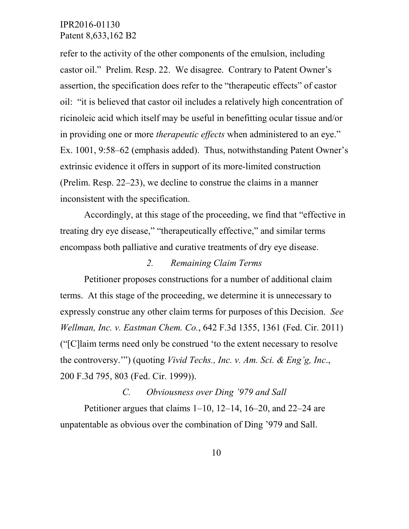refer to the activity of the other components of the emulsion, including castor oil." Prelim. Resp. 22. We disagree. Contrary to Patent Owner's assertion, the specification does refer to the "therapeutic effects" of castor oil: "it is believed that castor oil includes a relatively high concentration of ricinoleic acid which itself may be useful in benefitting ocular tissue and/or in providing one or more *therapeutic effects* when administered to an eye." Ex. 1001, 9:58–62 (emphasis added). Thus, notwithstanding Patent Owner's extrinsic evidence it offers in support of its more-limited construction (Prelim. Resp. 22–23), we decline to construe the claims in a manner inconsistent with the specification.

Accordingly, at this stage of the proceeding, we find that "effective in treating dry eye disease," "therapeutically effective," and similar terms encompass both palliative and curative treatments of dry eye disease.

#### *2. Remaining Claim Terms*

Petitioner proposes constructions for a number of additional claim terms. At this stage of the proceeding, we determine it is unnecessary to expressly construe any other claim terms for purposes of this Decision. *See Wellman, Inc. v. Eastman Chem. Co.*, 642 F.3d 1355, 1361 (Fed. Cir. 2011) ("[C]laim terms need only be construed 'to the extent necessary to resolve the controversy.'") (quoting *Vivid Techs., Inc. v. Am. Sci. & Eng'g, Inc*., 200 F.3d 795, 803 (Fed. Cir. 1999)).

# *C. Obviousness over Ding '979 and Sall*

Petitioner argues that claims 1–10, 12–14, 16–20, and 22–24 are unpatentable as obvious over the combination of Ding '979 and Sall.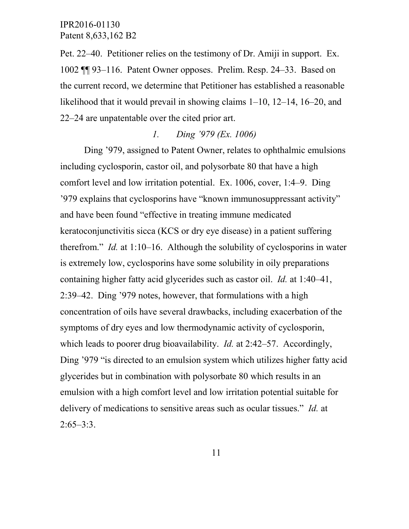Pet. 22–40. Petitioner relies on the testimony of Dr. Amiji in support. Ex. 1002 ¶¶ 93–116. Patent Owner opposes. Prelim. Resp. 24–33. Based on the current record, we determine that Petitioner has established a reasonable likelihood that it would prevail in showing claims 1–10, 12–14, 16–20, and 22–24 are unpatentable over the cited prior art.

### *1. Ding '979 (Ex. 1006)*

Ding '979, assigned to Patent Owner, relates to ophthalmic emulsions including cyclosporin, castor oil, and polysorbate 80 that have a high comfort level and low irritation potential. Ex. 1006, cover, 1:4–9. Ding '979 explains that cyclosporins have "known immunosuppressant activity" and have been found "effective in treating immune medicated keratoconjunctivitis sicca (KCS or dry eye disease) in a patient suffering therefrom." *Id.* at 1:10–16. Although the solubility of cyclosporins in water is extremely low, cyclosporins have some solubility in oily preparations containing higher fatty acid glycerides such as castor oil. *Id.* at 1:40–41, 2:39–42. Ding '979 notes, however, that formulations with a high concentration of oils have several drawbacks, including exacerbation of the symptoms of dry eyes and low thermodynamic activity of cyclosporin, which leads to poorer drug bioavailability. *Id.* at 2:42–57. Accordingly, Ding '979 "is directed to an emulsion system which utilizes higher fatty acid glycerides but in combination with polysorbate 80 which results in an emulsion with a high comfort level and low irritation potential suitable for delivery of medications to sensitive areas such as ocular tissues." *Id.* at  $2:65-3:3$ .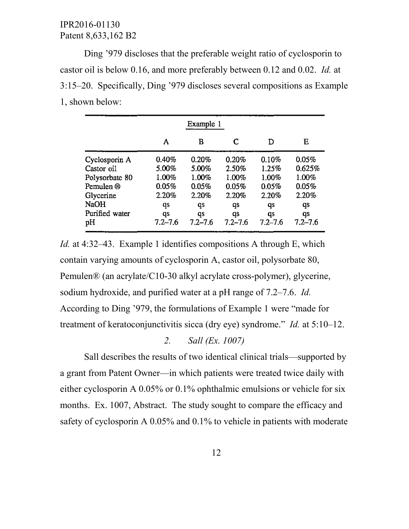Ding '979 discloses that the preferable weight ratio of cyclosporin to castor oil is below 0.16, and more preferably between 0.12 and 0.02. *Id.* at 3:15–20. Specifically, Ding '979 discloses several compositions as Example 1, shown below:

|                | A           | в           | C           | D           | Е           |
|----------------|-------------|-------------|-------------|-------------|-------------|
| Cyclosporin A  | 0.40%       | 0.20%       | 0.20%       | 0.10%       | 0.05%       |
| Castor oil     | 5.00%       | 5.00%       | 2.50%       | 1.25%       | 0.625%      |
| Polysorbate 80 | 1.00%       | 1.00%       | 1.00%       | 1.00%       | 1.00%       |
| Pemulen ®      | 0.05%       | 0.05%       | 0.05%       | 0.05%       | 0.05%       |
| Glycerine      | 2.20%       | 2.20%       | 2.20%       | 2.20%       | 2.20%       |
| <b>NaOH</b>    | qs          | qs          | qs          | qs          | qs          |
| Purified water | qs          | qs          | qs          | qs          | qs          |
| pН             | $7.2 - 7.6$ | $7.2 - 7.6$ | $7.2 - 7.6$ | $7.2 - 7.6$ | $7.2 - 7.6$ |

*Id.* at 4:32–43. Example 1 identifies compositions A through E, which contain varying amounts of cyclosporin A, castor oil, polysorbate 80, Pemulen® (an acrylate/C10-30 alkyl acrylate cross-polymer), glycerine, sodium hydroxide, and purified water at a pH range of 7.2–7.6. *Id.* According to Ding '979, the formulations of Example 1 were "made for treatment of keratoconjunctivitis sicca (dry eye) syndrome." *Id.* at 5:10–12.

#### *2. Sall (Ex. 1007)*

Sall describes the results of two identical clinical trials—supported by a grant from Patent Owner—in which patients were treated twice daily with either cyclosporin A 0.05% or 0.1% ophthalmic emulsions or vehicle for six months. Ex. 1007, Abstract. The study sought to compare the efficacy and safety of cyclosporin A 0.05% and 0.1% to vehicle in patients with moderate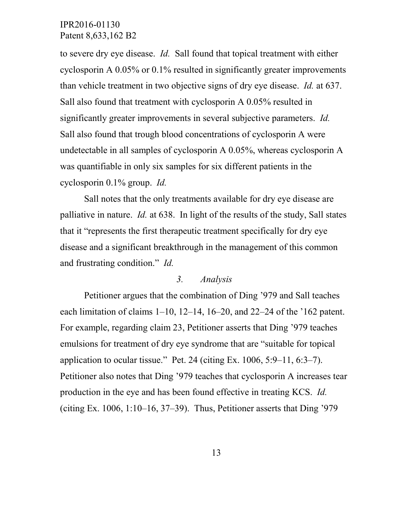to severe dry eye disease. *Id.* Sall found that topical treatment with either cyclosporin A 0.05% or 0.1% resulted in significantly greater improvements than vehicle treatment in two objective signs of dry eye disease. *Id.* at 637. Sall also found that treatment with cyclosporin A 0.05% resulted in significantly greater improvements in several subjective parameters. *Id.* Sall also found that trough blood concentrations of cyclosporin A were undetectable in all samples of cyclosporin A 0.05%, whereas cyclosporin A was quantifiable in only six samples for six different patients in the cyclosporin 0.1% group. *Id.*

Sall notes that the only treatments available for dry eye disease are palliative in nature. *Id.* at 638. In light of the results of the study, Sall states that it "represents the first therapeutic treatment specifically for dry eye disease and a significant breakthrough in the management of this common and frustrating condition." *Id.*

#### *3. Analysis*

Petitioner argues that the combination of Ding '979 and Sall teaches each limitation of claims 1–10, 12–14, 16–20, and 22–24 of the '162 patent. For example, regarding claim 23, Petitioner asserts that Ding '979 teaches emulsions for treatment of dry eye syndrome that are "suitable for topical application to ocular tissue." Pet. 24 (citing Ex.  $1006$ ,  $5:9-11$ ,  $6:3-7$ ). Petitioner also notes that Ding '979 teaches that cyclosporin A increases tear production in the eye and has been found effective in treating KCS. *Id.* (citing Ex.  $1006$ ,  $1:10-16$ ,  $37-39$ ). Thus, Petitioner asserts that Ding '979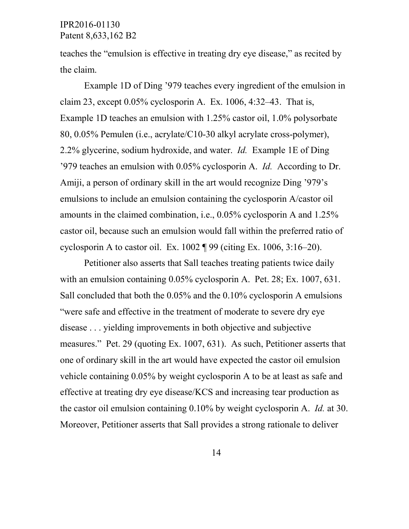teaches the "emulsion is effective in treating dry eye disease," as recited by the claim.

Example 1D of Ding '979 teaches every ingredient of the emulsion in claim 23, except 0.05% cyclosporin A. Ex. 1006, 4:32–43. That is, Example 1D teaches an emulsion with 1.25% castor oil, 1.0% polysorbate 80, 0.05% Pemulen (i.e., acrylate/C10-30 alkyl acrylate cross-polymer), 2.2% glycerine, sodium hydroxide, and water. *Id.* Example 1E of Ding '979 teaches an emulsion with 0.05% cyclosporin A. *Id.* According to Dr. Amiji, a person of ordinary skill in the art would recognize Ding '979's emulsions to include an emulsion containing the cyclosporin A/castor oil amounts in the claimed combination, i.e., 0.05% cyclosporin A and 1.25% castor oil, because such an emulsion would fall within the preferred ratio of cyclosporin A to castor oil. Ex.  $1002 \text{ T}$  99 (citing Ex.  $1006, 3:16-20$ ).

Petitioner also asserts that Sall teaches treating patients twice daily with an emulsion containing  $0.05\%$  cyclosporin A. Pet. 28; Ex. 1007, 631. Sall concluded that both the 0.05% and the 0.10% cyclosporin A emulsions "were safe and effective in the treatment of moderate to severe dry eye disease . . . yielding improvements in both objective and subjective measures." Pet. 29 (quoting Ex. 1007, 631). As such, Petitioner asserts that one of ordinary skill in the art would have expected the castor oil emulsion vehicle containing 0.05% by weight cyclosporin A to be at least as safe and effective at treating dry eye disease/KCS and increasing tear production as the castor oil emulsion containing 0.10% by weight cyclosporin A. *Id.* at 30. Moreover, Petitioner asserts that Sall provides a strong rationale to deliver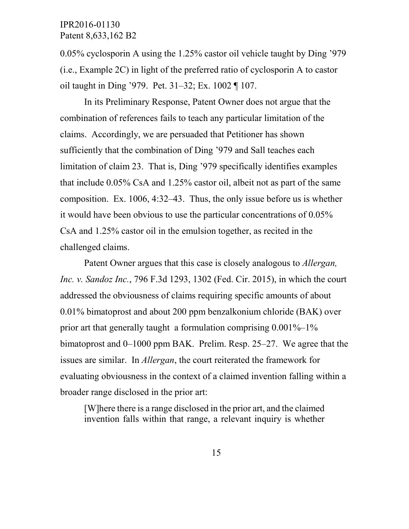0.05% cyclosporin A using the 1.25% castor oil vehicle taught by Ding '979 (i.e., Example 2C) in light of the preferred ratio of cyclosporin A to castor oil taught in Ding '979. Pet. 31–32; Ex. 1002 ¶ 107.

In its Preliminary Response, Patent Owner does not argue that the combination of references fails to teach any particular limitation of the claims. Accordingly, we are persuaded that Petitioner has shown sufficiently that the combination of Ding '979 and Sall teaches each limitation of claim 23. That is, Ding '979 specifically identifies examples that include 0.05% CsA and 1.25% castor oil, albeit not as part of the same composition. Ex. 1006, 4:32–43. Thus, the only issue before us is whether it would have been obvious to use the particular concentrations of 0.05% CsA and 1.25% castor oil in the emulsion together, as recited in the challenged claims.

Patent Owner argues that this case is closely analogous to *Allergan, Inc. v. Sandoz Inc.*, 796 F.3d 1293, 1302 (Fed. Cir. 2015), in which the court addressed the obviousness of claims requiring specific amounts of about 0.01% bimatoprost and about 200 ppm benzalkonium chloride (BAK) over prior art that generally taught a formulation comprising  $0.001\% - 1\%$ bimatoprost and 0–1000 ppm BAK. Prelim. Resp. 25–27. We agree that the issues are similar. In *Allergan*, the court reiterated the framework for evaluating obviousness in the context of a claimed invention falling within a broader range disclosed in the prior art:

[W]here there is a range disclosed in the prior art, and the claimed invention falls within that range, a relevant inquiry is whether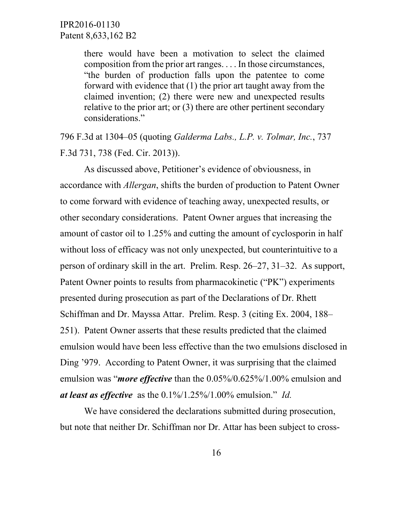there would have been a motivation to select the claimed composition from the prior art ranges. . . . In those circumstances, "the burden of production falls upon the patentee to come forward with evidence that (1) the prior art taught away from the claimed invention; (2) there were new and unexpected results relative to the prior art; or (3) there are other pertinent secondary considerations."

796 F.3d at 1304–05 (quoting *Galderma Labs., L.P. v. Tolmar, Inc.*, 737 F.3d 731, 738 (Fed. Cir. 2013)).

As discussed above, Petitioner's evidence of obviousness, in accordance with *Allergan*, shifts the burden of production to Patent Owner to come forward with evidence of teaching away, unexpected results, or other secondary considerations. Patent Owner argues that increasing the amount of castor oil to 1.25% and cutting the amount of cyclosporin in half without loss of efficacy was not only unexpected, but counterintuitive to a person of ordinary skill in the art. Prelim. Resp. 26–27, 31–32. As support, Patent Owner points to results from pharmacokinetic ("PK") experiments presented during prosecution as part of the Declarations of Dr. Rhett Schiffman and Dr. Mayssa Attar. Prelim. Resp. 3 (citing Ex. 2004, 188– 251). Patent Owner asserts that these results predicted that the claimed emulsion would have been less effective than the two emulsions disclosed in Ding '979. According to Patent Owner, it was surprising that the claimed emulsion was "*more effective* than the 0.05%/0.625%/1.00% emulsion and *at least as effective* as the 0.1%/1.25%/1.00% emulsion." *Id.*

We have considered the declarations submitted during prosecution, but note that neither Dr. Schiffman nor Dr. Attar has been subject to cross-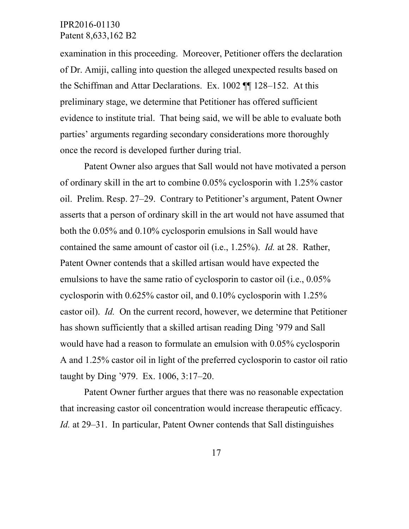examination in this proceeding. Moreover, Petitioner offers the declaration of Dr. Amiji, calling into question the alleged unexpected results based on the Schiffman and Attar Declarations. Ex. 1002 ¶¶ 128–152. At this preliminary stage, we determine that Petitioner has offered sufficient evidence to institute trial. That being said, we will be able to evaluate both parties' arguments regarding secondary considerations more thoroughly once the record is developed further during trial.

Patent Owner also argues that Sall would not have motivated a person of ordinary skill in the art to combine 0.05% cyclosporin with 1.25% castor oil. Prelim. Resp. 27–29. Contrary to Petitioner's argument, Patent Owner asserts that a person of ordinary skill in the art would not have assumed that both the 0.05% and 0.10% cyclosporin emulsions in Sall would have contained the same amount of castor oil (i.e., 1.25%). *Id.* at 28. Rather, Patent Owner contends that a skilled artisan would have expected the emulsions to have the same ratio of cyclosporin to castor oil (i.e., 0.05% cyclosporin with 0.625% castor oil, and 0.10% cyclosporin with 1.25% castor oil). *Id.* On the current record, however, we determine that Petitioner has shown sufficiently that a skilled artisan reading Ding '979 and Sall would have had a reason to formulate an emulsion with 0.05% cyclosporin A and 1.25% castor oil in light of the preferred cyclosporin to castor oil ratio taught by Ding '979. Ex. 1006, 3:17–20.

Patent Owner further argues that there was no reasonable expectation that increasing castor oil concentration would increase therapeutic efficacy. *Id.* at 29–31. In particular, Patent Owner contends that Sall distinguishes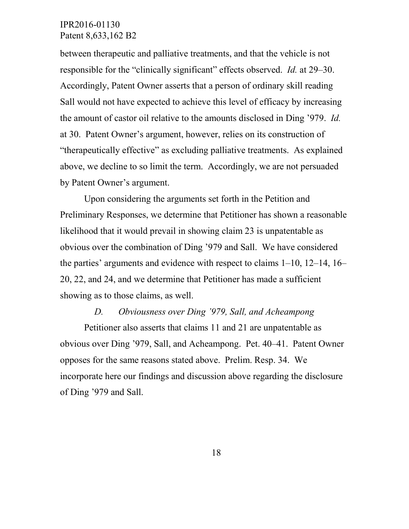between therapeutic and palliative treatments, and that the vehicle is not responsible for the "clinically significant" effects observed. *Id.* at 29–30. Accordingly, Patent Owner asserts that a person of ordinary skill reading Sall would not have expected to achieve this level of efficacy by increasing the amount of castor oil relative to the amounts disclosed in Ding '979. *Id.* at 30. Patent Owner's argument, however, relies on its construction of "therapeutically effective" as excluding palliative treatments. As explained above, we decline to so limit the term. Accordingly, we are not persuaded by Patent Owner's argument.

Upon considering the arguments set forth in the Petition and Preliminary Responses, we determine that Petitioner has shown a reasonable likelihood that it would prevail in showing claim 23 is unpatentable as obvious over the combination of Ding '979 and Sall. We have considered the parties' arguments and evidence with respect to claims 1–10, 12–14, 16– 20, 22, and 24, and we determine that Petitioner has made a sufficient showing as to those claims, as well.

#### *D. Obviousness over Ding '979, Sall, and Acheampong*

Petitioner also asserts that claims 11 and 21 are unpatentable as obvious over Ding '979, Sall, and Acheampong. Pet. 40–41. Patent Owner opposes for the same reasons stated above. Prelim. Resp. 34. We incorporate here our findings and discussion above regarding the disclosure of Ding '979 and Sall.

18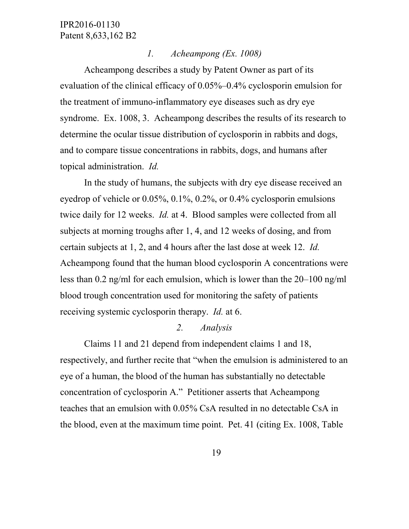#### *1. Acheampong (Ex. 1008)*

Acheampong describes a study by Patent Owner as part of its evaluation of the clinical efficacy of 0.05%–0.4% cyclosporin emulsion for the treatment of immuno-inflammatory eye diseases such as dry eye syndrome. Ex. 1008, 3. Acheampong describes the results of its research to determine the ocular tissue distribution of cyclosporin in rabbits and dogs, and to compare tissue concentrations in rabbits, dogs, and humans after topical administration. *Id.*

In the study of humans, the subjects with dry eye disease received an eyedrop of vehicle or 0.05%, 0.1%, 0.2%, or 0.4% cyclosporin emulsions twice daily for 12 weeks. *Id.* at 4. Blood samples were collected from all subjects at morning troughs after 1, 4, and 12 weeks of dosing, and from certain subjects at 1, 2, and 4 hours after the last dose at week 12. *Id.* Acheampong found that the human blood cyclosporin A concentrations were less than 0.2 ng/ml for each emulsion, which is lower than the 20–100 ng/ml blood trough concentration used for monitoring the safety of patients receiving systemic cyclosporin therapy. *Id.* at 6.

## *2. Analysis*

Claims 11 and 21 depend from independent claims 1 and 18, respectively, and further recite that "when the emulsion is administered to an eye of a human, the blood of the human has substantially no detectable concentration of cyclosporin A." Petitioner asserts that Acheampong teaches that an emulsion with 0.05% CsA resulted in no detectable CsA in the blood, even at the maximum time point. Pet. 41 (citing Ex. 1008, Table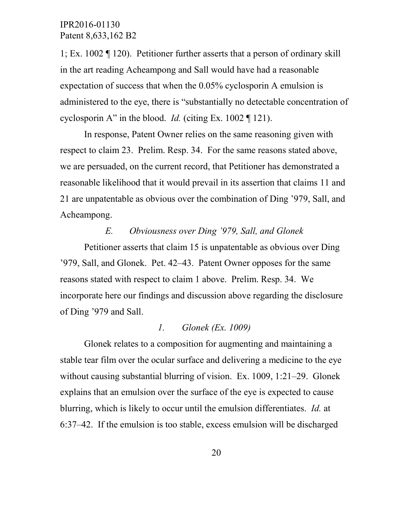1; Ex. 1002 ¶ 120). Petitioner further asserts that a person of ordinary skill in the art reading Acheampong and Sall would have had a reasonable expectation of success that when the 0.05% cyclosporin A emulsion is administered to the eye, there is "substantially no detectable concentration of cyclosporin A" in the blood. *Id.* (citing Ex. 1002 ¶ 121).

In response, Patent Owner relies on the same reasoning given with respect to claim 23. Prelim. Resp. 34. For the same reasons stated above, we are persuaded, on the current record, that Petitioner has demonstrated a reasonable likelihood that it would prevail in its assertion that claims 11 and 21 are unpatentable as obvious over the combination of Ding '979, Sall, and Acheampong.

## *E. Obviousness over Ding '979, Sall, and Glonek*

Petitioner asserts that claim 15 is unpatentable as obvious over Ding '979, Sall, and Glonek. Pet. 42–43. Patent Owner opposes for the same reasons stated with respect to claim 1 above. Prelim. Resp. 34. We incorporate here our findings and discussion above regarding the disclosure of Ding '979 and Sall.

#### *1. Glonek (Ex. 1009)*

Glonek relates to a composition for augmenting and maintaining a stable tear film over the ocular surface and delivering a medicine to the eye without causing substantial blurring of vision. Ex. 1009, 1:21–29. Glonek explains that an emulsion over the surface of the eye is expected to cause blurring, which is likely to occur until the emulsion differentiates. *Id.* at 6:37–42. If the emulsion is too stable, excess emulsion will be discharged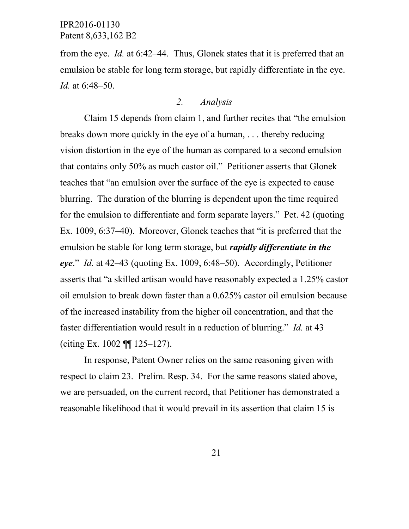from the eye. *Id.* at 6:42–44. Thus, Glonek states that it is preferred that an emulsion be stable for long term storage, but rapidly differentiate in the eye. *Id.* at 6:48–50.

## *2. Analysis*

Claim 15 depends from claim 1, and further recites that "the emulsion breaks down more quickly in the eye of a human, . . . thereby reducing vision distortion in the eye of the human as compared to a second emulsion that contains only 50% as much castor oil." Petitioner asserts that Glonek teaches that "an emulsion over the surface of the eye is expected to cause blurring. The duration of the blurring is dependent upon the time required for the emulsion to differentiate and form separate layers." Pet. 42 (quoting Ex. 1009, 6:37–40). Moreover, Glonek teaches that "it is preferred that the emulsion be stable for long term storage, but *rapidly differentiate in the eye*." *Id.* at 42–43 (quoting Ex. 1009, 6:48–50). Accordingly, Petitioner asserts that "a skilled artisan would have reasonably expected a 1.25% castor oil emulsion to break down faster than a 0.625% castor oil emulsion because of the increased instability from the higher oil concentration, and that the faster differentiation would result in a reduction of blurring." *Id.* at 43 (citing Ex. 1002 ¶¶ 125–127).

In response, Patent Owner relies on the same reasoning given with respect to claim 23. Prelim. Resp. 34. For the same reasons stated above, we are persuaded, on the current record, that Petitioner has demonstrated a reasonable likelihood that it would prevail in its assertion that claim 15 is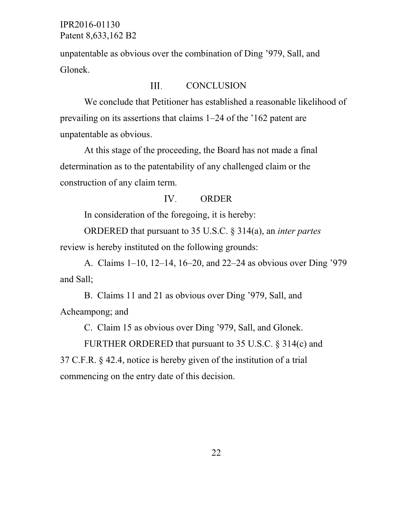unpatentable as obvious over the combination of Ding '979, Sall, and Glonek.

#### III. **CONCLUSION**

We conclude that Petitioner has established a reasonable likelihood of prevailing on its assertions that claims 1–24 of the '162 patent are unpatentable as obvious.

At this stage of the proceeding, the Board has not made a final determination as to the patentability of any challenged claim or the construction of any claim term.

#### IV. ORDER

In consideration of the foregoing, it is hereby:

ORDERED that pursuant to 35 U.S.C. § 314(a), an *inter partes* review is hereby instituted on the following grounds:

A. Claims 1–10, 12–14, 16–20, and 22–24 as obvious over Ding '979 and Sall;

B. Claims 11 and 21 as obvious over Ding '979, Sall, and Acheampong; and

C. Claim 15 as obvious over Ding '979, Sall, and Glonek.

FURTHER ORDERED that pursuant to 35 U.S.C. § 314(c) and 37 C.F.R. § 42.4, notice is hereby given of the institution of a trial commencing on the entry date of this decision.